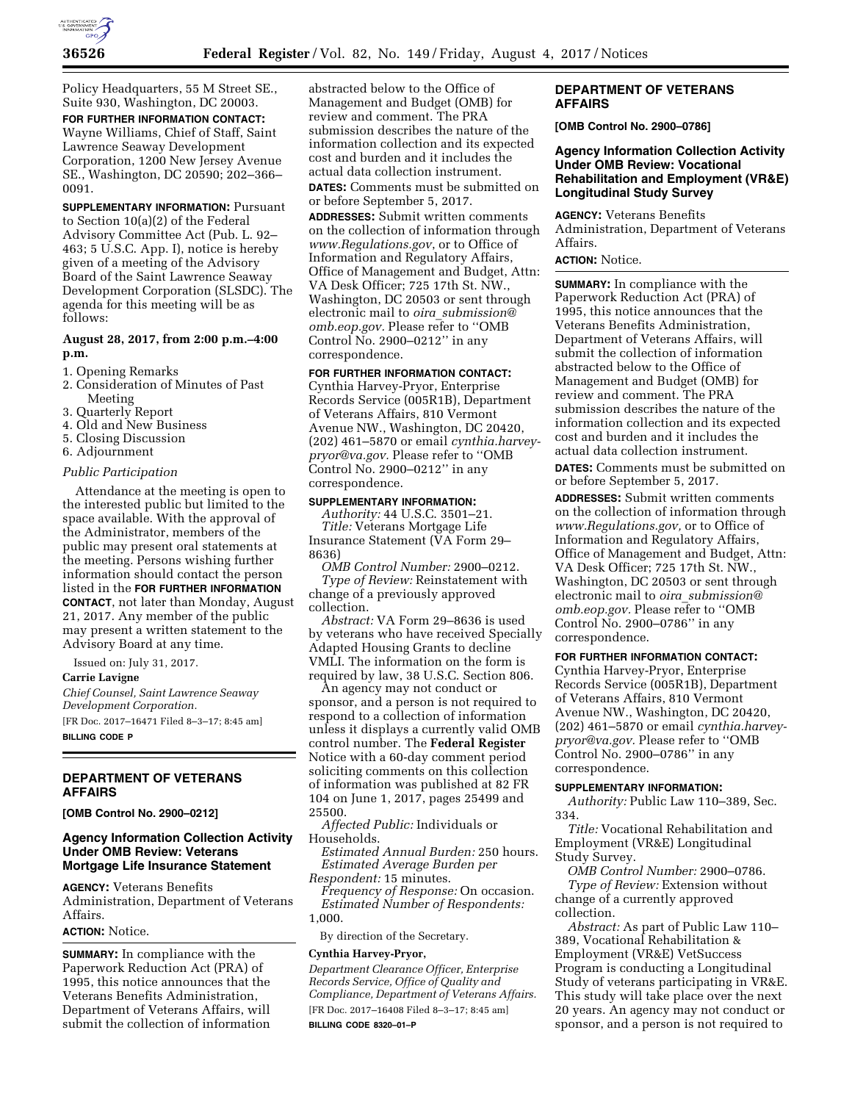

Policy Headquarters, 55 M Street SE., Suite 930, Washington, DC 20003. **FOR FURTHER INFORMATION CONTACT:**  Wayne Williams, Chief of Staff, Saint Lawrence Seaway Development Corporation, 1200 New Jersey Avenue

SE., Washington, DC 20590; 202–366– 0091. **SUPPLEMENTARY INFORMATION:** Pursuant

to Section 10(a)(2) of the Federal Advisory Committee Act (Pub. L. 92– 463; 5 U.S.C. App. I), notice is hereby given of a meeting of the Advisory Board of the Saint Lawrence Seaway Development Corporation (SLSDC). The agenda for this meeting will be as follows:

# **August 28, 2017, from 2:00 p.m.–4:00 p.m.**

- 1. Opening Remarks
- 2. Consideration of Minutes of Past Meeting
- 3. Quarterly Report
- 4. Old and New Business
- 5. Closing Discussion
- 6. Adjournment

# *Public Participation*

Attendance at the meeting is open to the interested public but limited to the space available. With the approval of the Administrator, members of the public may present oral statements at the meeting. Persons wishing further information should contact the person listed in the **FOR FURTHER INFORMATION CONTACT**, not later than Monday, August 21, 2017. Any member of the public may present a written statement to the Advisory Board at any time.

Issued on: July 31, 2017.

#### **Carrie Lavigne**

*Chief Counsel, Saint Lawrence Seaway Development Corporation.*  [FR Doc. 2017–16471 Filed 8–3–17; 8:45 am] **BILLING CODE P** 

# **DEPARTMENT OF VETERANS AFFAIRS**

**[OMB Control No. 2900–0212]** 

### **Agency Information Collection Activity Under OMB Review: Veterans Mortgage Life Insurance Statement**

**AGENCY:** Veterans Benefits Administration, Department of Veterans Affairs.

# **ACTION:** Notice.

**SUMMARY:** In compliance with the Paperwork Reduction Act (PRA) of 1995, this notice announces that the Veterans Benefits Administration, Department of Veterans Affairs, will submit the collection of information abstracted below to the Office of Management and Budget (OMB) for review and comment. The PRA submission describes the nature of the information collection and its expected cost and burden and it includes the actual data collection instrument. **DATES:** Comments must be submitted on

or before September 5, 2017.

**ADDRESSES:** Submit written comments on the collection of information through *[www.Regulations.gov](http://www.Regulations.gov)*, or to Office of Information and Regulatory Affairs, Office of Management and Budget, Attn: VA Desk Officer; 725 17th St. NW., Washington, DC 20503 or sent through electronic mail to *oira*\_*[submission@](mailto:oira_submission@omb.eop.gov) [omb.eop.gov.](mailto:oira_submission@omb.eop.gov)* Please refer to ''OMB Control No. 2900–0212'' in any correspondence.

# **FOR FURTHER INFORMATION CONTACT:**

Cynthia Harvey-Pryor, Enterprise Records Service (005R1B), Department of Veterans Affairs, 810 Vermont Avenue NW., Washington, DC 20420, (202) 461–5870 or email *[cynthia.harvey](mailto:cynthia.harvey-pryor@va.gov)[pryor@va.gov.](mailto:cynthia.harvey-pryor@va.gov)* Please refer to ''OMB Control No. 2900–0212'' in any correspondence.

# **SUPPLEMENTARY INFORMATION:**

*Authority:* 44 U.S.C. 3501–21. *Title:* Veterans Mortgage Life Insurance Statement (VA Form 29– 8636)

*OMB Control Number:* 2900–0212. *Type of Review:* Reinstatement with change of a previously approved collection.

*Abstract:* VA Form 29–8636 is used by veterans who have received Specially Adapted Housing Grants to decline VMLI. The information on the form is required by law, 38 U.S.C. Section 806.

An agency may not conduct or sponsor, and a person is not required to respond to a collection of information unless it displays a currently valid OMB control number. The **Federal Register**  Notice with a 60-day comment period soliciting comments on this collection of information was published at 82 FR 104 on June 1, 2017, pages 25499 and 25500.

*Affected Public:* Individuals or Households.

*Estimated Annual Burden:* 250 hours. *Estimated Average Burden per Respondent:* 15 minutes.

*Frequency of Response:* On occasion. *Estimated Number of Respondents:*  1,000.

By direction of the Secretary.

#### **Cynthia Harvey-Pryor,**

*Department Clearance Officer, Enterprise Records Service, Office of Quality and Compliance, Department of Veterans Affairs.*  [FR Doc. 2017–16408 Filed 8–3–17; 8:45 am] **BILLING CODE 8320–01–P** 

# **DEPARTMENT OF VETERANS AFFAIRS**

**[OMB Control No. 2900–0786]** 

## **Agency Information Collection Activity Under OMB Review: Vocational Rehabilitation and Employment (VR&E) Longitudinal Study Survey**

**AGENCY:** Veterans Benefits Administration, Department of Veterans Affairs.

## **ACTION:** Notice.

**SUMMARY:** In compliance with the Paperwork Reduction Act (PRA) of 1995, this notice announces that the Veterans Benefits Administration, Department of Veterans Affairs, will submit the collection of information abstracted below to the Office of Management and Budget (OMB) for review and comment. The PRA submission describes the nature of the information collection and its expected cost and burden and it includes the actual data collection instrument.

**DATES:** Comments must be submitted on or before September 5, 2017.

**ADDRESSES:** Submit written comments on the collection of information through *[www.Regulations.gov,](http://www.Regulations.gov)* or to Office of Information and Regulatory Affairs, Office of Management and Budget, Attn: VA Desk Officer; 725 17th St. NW., Washington, DC 20503 or sent through electronic mail to *oira*\_*[submission@](mailto:oira_submission@omb.eop.gov) [omb.eop.gov.](mailto:oira_submission@omb.eop.gov)* Please refer to ''OMB Control No. 2900–0786'' in any correspondence.

#### **FOR FURTHER INFORMATION CONTACT:**

Cynthia Harvey-Pryor, Enterprise Records Service (005R1B), Department of Veterans Affairs, 810 Vermont Avenue NW., Washington, DC 20420, (202) 461–5870 or email *[cynthia.harvey](mailto:cynthia.harvey-pryor@va.gov)[pryor@va.gov.](mailto:cynthia.harvey-pryor@va.gov)* Please refer to ''OMB Control No. 2900–0786'' in any correspondence.

#### **SUPPLEMENTARY INFORMATION:**

*Authority:* Public Law 110–389, Sec. 334.

*Title:* Vocational Rehabilitation and Employment (VR&E) Longitudinal Study Survey.

*OMB Control Number:* 2900–0786. *Type of Review:* Extension without change of a currently approved collection.

*Abstract:* As part of Public Law 110– 389, Vocational Rehabilitation & Employment (VR&E) VetSuccess Program is conducting a Longitudinal Study of veterans participating in VR&E. This study will take place over the next 20 years. An agency may not conduct or sponsor, and a person is not required to